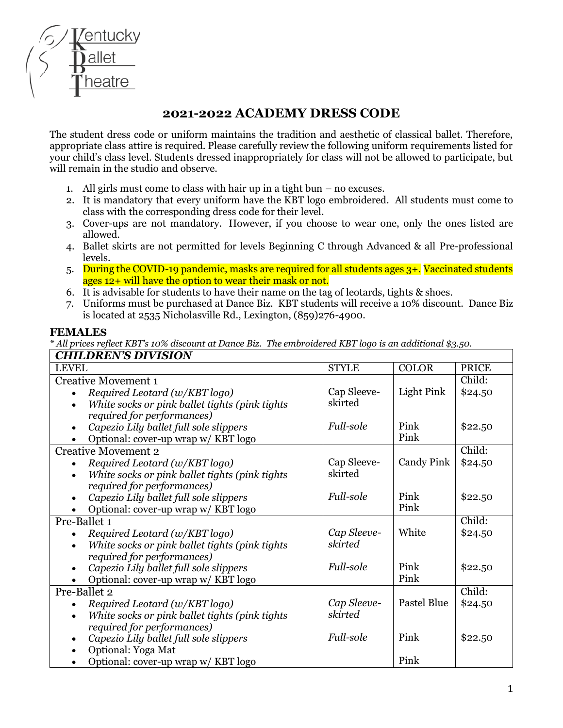

## **2021-2022 ACADEMY DRESS CODE**

The student dress code or uniform maintains the tradition and aesthetic of classical ballet. Therefore, appropriate class attire is required. Please carefully review the following uniform requirements listed for your child's class level. Students dressed inappropriately for class will not be allowed to participate, but will remain in the studio and observe.

- 1. All girls must come to class with hair up in a tight bun no excuses.
- 2. It is mandatory that every uniform have the KBT logo embroidered. All students must come to class with the corresponding dress code for their level.
- 3. Cover-ups are not mandatory. However, if you choose to wear one, only the ones listed are allowed.
- 4. Ballet skirts are not permitted for levels Beginning C through Advanced & all Pre-professional levels.
- 5. During the COVID-19 pandemic, masks are required for all students ages 3+. Vaccinated students ages 12+ will have the option to wear their mask or not.
- 6. It is advisable for students to have their name on the tag of leotards, tights & shoes.
- 7. Uniforms must be purchased at Dance Biz. KBT students will receive a 10% discount. Dance Biz is located at 2535 Nicholasville Rd., Lexington, (859)276-4900.

## **FEMALES**

*\* All prices reflect KBT's 10% discount at Dance Biz. The embroidered KBT logo is an additional \$3.50.*

| <b>CHILDREN'S DIVISION</b>                                  |              |                    |              |
|-------------------------------------------------------------|--------------|--------------------|--------------|
| <b>LEVEL</b>                                                | <b>STYLE</b> | <b>COLOR</b>       | <b>PRICE</b> |
| <b>Creative Movement 1</b>                                  |              |                    | Child:       |
| Required Leotard (w/KBT logo)                               | Cap Sleeve-  | Light Pink         | \$24.50      |
| White socks or pink ballet tights (pink tights<br>$\bullet$ | skirted      |                    |              |
| required for performances)                                  |              |                    |              |
| Capezio Lily ballet full sole slippers                      | Full-sole    | Pink               | \$22.50      |
| Optional: cover-up wrap w/ KBT logo                         |              | Pink               |              |
| <b>Creative Movement 2</b>                                  |              |                    | Child:       |
| Required Leotard (w/KBT logo)                               | Cap Sleeve-  | <b>Candy Pink</b>  | \$24.50      |
| White socks or pink ballet tights (pink tights              | skirted      |                    |              |
| required for performances)                                  |              |                    |              |
| Capezio Lily ballet full sole slippers<br>$\bullet$         | Full-sole    | Pink               | \$22.50      |
| Optional: cover-up wrap w/ KBT logo                         |              | Pink               |              |
| Pre-Ballet 1                                                |              |                    | Child:       |
| Required Leotard (w/KBT logo)                               | Cap Sleeve-  | White              | \$24.50      |
| White socks or pink ballet tights (pink tights<br>$\bullet$ | skirted      |                    |              |
| required for performances)                                  |              |                    |              |
| Capezio Lily ballet full sole slippers                      | Full-sole    | Pink               | \$22.50      |
| Optional: cover-up wrap w/ KBT logo                         |              | Pink               |              |
| Pre-Ballet 2                                                |              |                    | Child:       |
| Required Leotard (w/KBT logo)<br>$\bullet$                  | Cap Sleeve-  | <b>Pastel Blue</b> | \$24.50      |
| White socks or pink ballet tights (pink tights              | skirted      |                    |              |
| required for performances)                                  |              |                    |              |
| Capezio Lily ballet full sole slippers                      | Full-sole    | Pink               | \$22.50      |
| Optional: Yoga Mat                                          |              |                    |              |
| Optional: cover-up wrap w/ KBT logo                         |              | Pink               |              |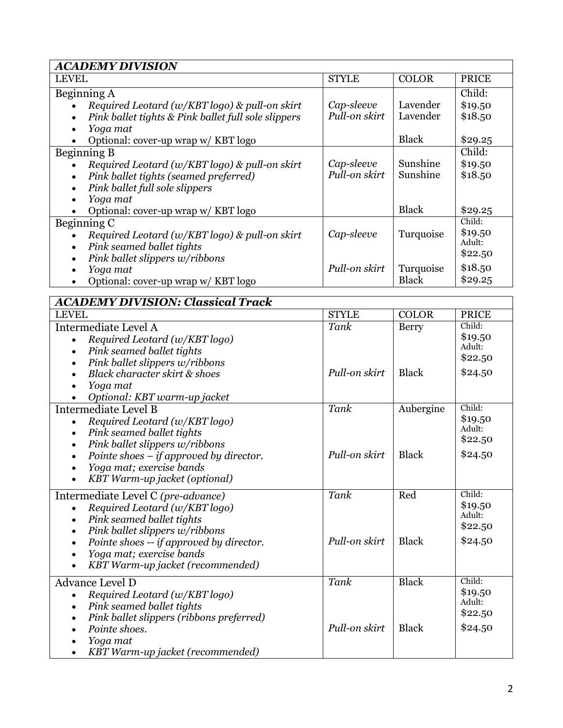| <b>ACADEMY DIVISION</b>                                                                                                                                                                                                                        |                             |                                      |                                         |
|------------------------------------------------------------------------------------------------------------------------------------------------------------------------------------------------------------------------------------------------|-----------------------------|--------------------------------------|-----------------------------------------|
| <b>LEVEL</b>                                                                                                                                                                                                                                   | <b>STYLE</b>                | <b>COLOR</b>                         | <b>PRICE</b>                            |
| Beginning A<br>Required Leotard (w/KBT logo) & pull-on skirt<br>Pink ballet tights & Pink ballet full sole slippers<br>Yoga mat<br>$\bullet$                                                                                                   | Cap-sleeve<br>Pull-on skirt | Lavender<br>Lavender                 | Child:<br>\$19.50<br>\$18.50            |
| Optional: cover-up wrap w/ KBT logo                                                                                                                                                                                                            |                             | <b>Black</b>                         | \$29.25                                 |
| Beginning B<br>Required Leotard (w/KBT logo) & pull-on skirt<br>$\bullet$<br>Pink ballet tights (seamed preferred)<br>$\bullet$<br>Pink ballet full sole slippers<br>$\bullet$<br>Yoga mat<br>$\bullet$<br>Optional: cover-up wrap w/ KBT logo | Cap-sleeve<br>Pull-on skirt | Sunshine<br>Sunshine<br><b>Black</b> | Child:<br>\$19.50<br>\$18.50<br>\$29.25 |
| Beginning C                                                                                                                                                                                                                                    |                             |                                      | Child:                                  |
| Required Leotard (w/KBT logo) & pull-on skirt<br>Pink seamed ballet tights<br>$\bullet$<br>Pink ballet slippers w/ribbons<br>$\bullet$                                                                                                         | Cap-sleeve                  | Turquoise                            | \$19.50<br>Adult:<br>\$22.50            |
| Yoga mat<br>$\bullet$<br>Optional: cover-up wrap w/ KBT logo<br>$\bullet$                                                                                                                                                                      | Pull-on skirt               | Turquoise<br><b>Black</b>            | \$18.50<br>\$29.25                      |
| <b>ACADEMY DIVISION: Classical Track</b>                                                                                                                                                                                                       |                             |                                      |                                         |
| <b>LEVEL</b>                                                                                                                                                                                                                                   | <b>STYLE</b>                | <b>COLOR</b>                         | <b>PRICE</b>                            |
| Intermediate Level A<br>Required Leotard (w/KBT logo)<br>$\bullet$<br>Pink seamed ballet tights<br>$\bullet$                                                                                                                                   | Tank                        | Berry                                | Child:<br>\$19.50<br>Adult:<br>\$22.50  |
| Pink ballet slippers w/ribbons<br>$\bullet$<br>Black character skirt & shoes<br>$\bullet$<br>Yoga mat<br>$\bullet$<br>Optional: KBT warm-up jacket                                                                                             | Pull-on skirt               | <b>Black</b>                         | \$24.50                                 |
| Intermediate Level B<br>Required Leotard (w/KBT logo)<br>$\bullet$<br>Pink seamed ballet tights<br>$\bullet$<br>Pink ballet slippers w/ribbons<br>$\bullet$                                                                                    | Tank                        | Aubergine                            | Child:<br>\$19.50<br>Adult:<br>\$22.50  |
| Pointe shoes $-$ if approved by director.<br>$\bullet$<br>Yoga mat; exercise bands<br>KBT Warm-up jacket (optional)                                                                                                                            | Pull-on skirt               | <b>Black</b>                         | \$24.50                                 |
| Intermediate Level C (pre-advance)<br>Required Leotard (w/KBT logo)<br>Pink seamed ballet tights<br>$\bullet$<br>Pink ballet slippers w/ribbons<br>$\bullet$                                                                                   | Tank                        | Red                                  | Child:<br>\$19.50<br>Adult:<br>\$22.50  |
| Pointe shoes -- if approved by director.<br>$\bullet$<br>Yoga mat; exercise bands<br>KBT Warm-up jacket (recommended)                                                                                                                          | Pull-on skirt               | <b>Black</b>                         | \$24.50                                 |
| Advance Level D<br>Required Leotard (w/KBT logo)<br>$\bullet$<br>Pink seamed ballet tights<br>$\bullet$<br>Pink ballet slippers (ribbons preferred)                                                                                            | Tank                        | <b>Black</b>                         | Child:<br>\$19.50<br>Adult:<br>\$22.50  |
| Pointe shoes.<br>Yoga mat<br>KBT Warm-up jacket (recommended)                                                                                                                                                                                  | Pull-on skirt               | <b>Black</b>                         | \$24.50                                 |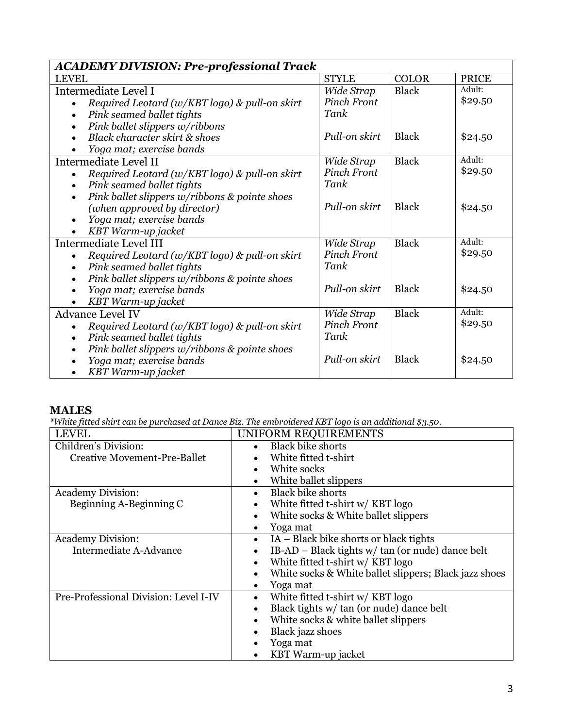| <b>ACADEMY DIVISION: Pre-professional Track</b>            |                    |              |              |
|------------------------------------------------------------|--------------------|--------------|--------------|
| <b>LEVEL</b>                                               | <b>STYLE</b>       | <b>COLOR</b> | <b>PRICE</b> |
| Intermediate Level I                                       | Wide Strap         | <b>Black</b> | Adult:       |
| Required Leotard (w/KBT logo) & pull-on skirt              | Pinch Front        |              | \$29.50      |
| Pink seamed ballet tights<br>$\bullet$                     | Tank               |              |              |
| Pink ballet slippers w/ribbons<br>$\bullet$                |                    |              |              |
| Black character skirt & shoes                              | Pull-on skirt      | <b>Black</b> | \$24.50      |
| Yoga mat; exercise bands                                   |                    |              |              |
| Intermediate Level II                                      | Wide Strap         | <b>Black</b> | Adult:       |
| Required Leotard (w/KBT logo) & pull-on skirt              | <b>Pinch Front</b> |              | \$29.50      |
| Pink seamed ballet tights<br>$\bullet$                     | Tank               |              |              |
| Pink ballet slippers w/ribbons & pointe shoes<br>$\bullet$ |                    |              |              |
| (when approved by director)                                | Pull-on skirt      | <b>Black</b> | \$24.50      |
| Yoga mat; exercise bands<br>$\bullet$                      |                    |              |              |
| KBT Warm-up jacket                                         |                    |              |              |
| Intermediate Level III                                     | Wide Strap         | <b>Black</b> | Adult:       |
| Required Leotard (w/KBT logo) & pull-on skirt              | Pinch Front        |              | \$29.50      |
| Pink seamed ballet tights<br>$\bullet$                     | Tank               |              |              |
| Pink ballet slippers w/ribbons & pointe shoes<br>$\bullet$ |                    |              |              |
| Yoga mat; exercise bands                                   | Pull-on skirt      | <b>Black</b> | \$24.50      |
| KBT Warm-up jacket                                         |                    |              |              |
| <b>Advance Level IV</b>                                    | Wide Strap         | <b>Black</b> | Adult:       |
| Required Leotard (w/KBT logo) & pull-on skirt              | <b>Pinch Front</b> |              | \$29.50      |
| Pink seamed ballet tights<br>$\bullet$                     | Tank               |              |              |
| Pink ballet slippers w/ribbons & pointe shoes              |                    |              |              |
| Yoga mat; exercise bands                                   | Pull-on skirt      | <b>Black</b> | \$24.50      |
| KBT Warm-up jacket                                         |                    |              |              |

## **MALES**

*\*White fitted shirt can be purchased at Dance Biz. The embroidered KBT logo is an additional \$3.50.*

| <b>LEVEL</b>                          | UNIFORM REQUIREMENTS                                  |
|---------------------------------------|-------------------------------------------------------|
| Children's Division:                  | <b>Black bike shorts</b><br>$\bullet$                 |
| <b>Creative Movement-Pre-Ballet</b>   | White fitted t-shirt                                  |
|                                       | White socks                                           |
|                                       | White ballet slippers<br>$\bullet$                    |
| Academy Division:                     | <b>Black bike shorts</b><br>$\bullet$                 |
| Beginning A-Beginning C               | White fitted t-shirt w/ KBT logo<br>$\bullet$         |
|                                       | White socks & White ballet slippers<br>$\bullet$      |
|                                       | Yoga mat                                              |
| Academy Division:                     | IA – Black bike shorts or black tights<br>$\bullet$   |
| Intermediate A-Advance                | IB-AD – Black tights w/ tan (or nude) dance belt      |
|                                       | White fitted t-shirt w/ KBT logo                      |
|                                       | White socks & White ballet slippers; Black jazz shoes |
|                                       | Yoga mat                                              |
| Pre-Professional Division: Level I-IV | White fitted t-shirt w/ KBT logo<br>$\bullet$         |
|                                       | Black tights w/ tan (or nude) dance belt              |
|                                       | White socks & white ballet slippers                   |
|                                       | Black jazz shoes                                      |
|                                       | Yoga mat                                              |
|                                       | KBT Warm-up jacket                                    |